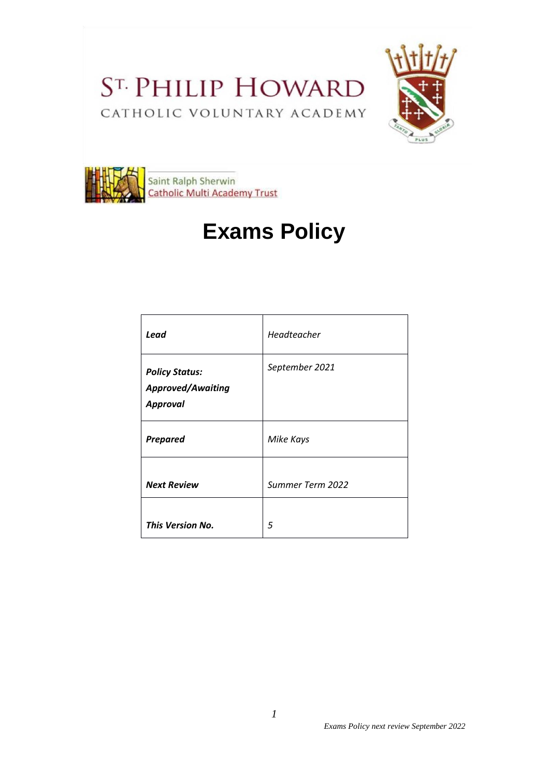ST. PHILIP HOWARD CATHOLIC VOLUNTARY ACADEMY





# **Exams Policy**

| Lead                                                                 | Headteacher      |
|----------------------------------------------------------------------|------------------|
| <b>Policy Status:</b><br><b>Approved/Awaiting</b><br><b>Approval</b> | September 2021   |
| <b>Prepared</b>                                                      | Mike Kays        |
| <b>Next Review</b>                                                   | Summer Term 2022 |
| <b>This Version No.</b>                                              | 5                |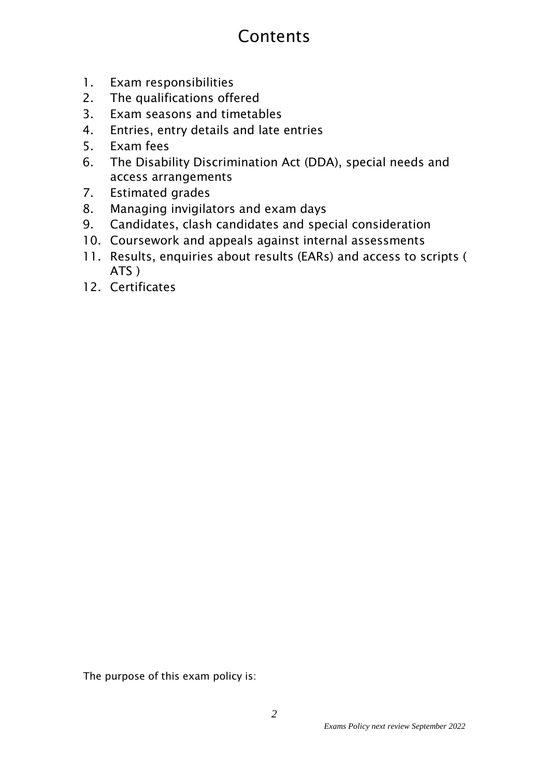# **Contents**

- 1. Exam responsibilities
- 2. The qualifications offered
- 3. Exam seasons and timetables
- 4. Entries, entry details and late entries
- 5. Exam fees
- 6. The Disability Discrimination Act (DDA), special needs and access arrangements
- 7. Estimated grades
- 8. Managing invigilators and exam days
- 9. Candidates, clash candidates and special consideration
- 10. Coursework and appeals against internal assessments
- 11. Results, enquiries about results (EARs) and access to scripts ( ATS )
- 12. Certificates

The purpose of this exam policy is: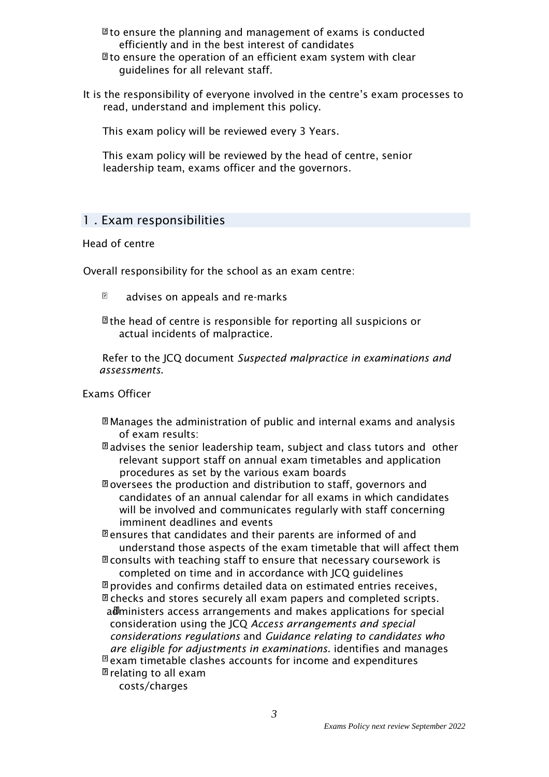- $\mathbb{\Omega}$  to ensure the planning and management of exams is conducted efficiently and in the best interest of candidates
- $\mathbb B$  to ensure the operation of an efficient exam system with clear guidelines for all relevant staff.
- It is the responsibility of everyone involved in the centre's exam processes to read, understand and implement this policy.

This exam policy will be reviewed every 3 Years.

This exam policy will be reviewed by the head of centre, senior leadership team, exams officer and the governors.

### 1 . Exam responsibilities

#### Head of centre

Overall responsibility for the school as an exam centre:

 $\Box$ advises on appeals and re-marks

 $\mathbb B$  the head of centre is responsible for reporting all suspicions or actual incidents of malpractice.

Refer to the JCQ document *Suspected malpractice in examinations and assessments*.

#### Exams Officer

 $\mathbb{\Omega}$  Manages the administration of public and internal exams and analysis of exam results:

 $\mathbb{\Omega}$  advises the senior leadership team, subject and class tutors and other relevant support staff on annual exam timetables and application procedures as set by the various exam boards

 $\mathbb{\Omega}$  oversees the production and distribution to staff, governors and candidates of an annual calendar for all exams in which candidates will be involved and communicates regularly with staff concerning imminent deadlines and events

 $\mathbb B$  ensures that candidates and their parents are informed of and understand those aspects of the exam timetable that will affect them  $\mathbb B$  consults with teaching staff to ensure that necessary coursework is

completed on time and in accordance with JCQ guidelines

 $\mathbb{\overline{B}}$  provides and confirms detailed data on estimated entries receives,  $\mathbb{\Omega}$  checks and stores securely all exam papers and completed scripts. administers access arrangements and makes applications for special consideration using the JCQ *Access arrangements and special considerations regulations* and *Guidance relating to candidates who are eligible for adjustments in examinations.* identifies and manages  $\overline{a}$  exam timetable clashes accounts for income and expenditures

 $\mathbb D$  relating to all exam

costs/charges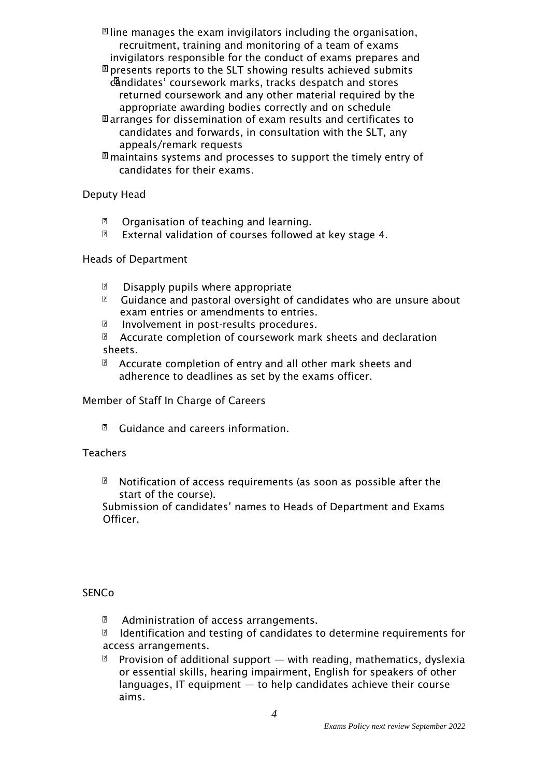$\mathbb B$  line manages the exam invigilators including the organisation, recruitment, training and monitoring of a team of exams invigilators responsible for the conduct of exams prepares and

- $\mathbb{\overline{B}}$  presents reports to the SLT showing results achieved submits  $c^2$ andidates' coursework marks, tracks despatch and stores returned coursework and any other material required by the appropriate awarding bodies correctly and on schedule
- $\mathbb{\Omega}$  arranges for dissemination of exam results and certificates to candidates and forwards, in consultation with the SLT, any appeals/remark requests
- $\mathbb B$  maintains systems and processes to support the timely entry of candidates for their exams.

Deputy Head

- $\mathbf{B}$ Organisation of teaching and learning.
- $\overline{z}$ External validation of courses followed at key stage 4.

### Heads of Department

- $\overline{r}$ Disapply pupils where appropriate
- $\overline{B}$ Guidance and pastoral oversight of candidates who are unsure about exam entries or amendments to entries.
- $\overline{z}$ Involvement in post-results procedures.
- $\overline{ }$ Accurate completion of coursework mark sheets and declaration sheets.
- $\Box$  Accurate completion of entry and all other mark sheets and adherence to deadlines as set by the exams officer.

# Member of Staff In Charge of Careers

 $\Box$  Guidance and careers information.

#### **Teachers**

 $\mathbf{B}$ Notification of access requirements (as soon as possible after the start of the course).

Submission of candidates' names to Heads of Department and Exams Officer.

# **SENCo**

 $\overline{a}$ Administration of access arrangements.

 $\overline{a}$ Identification and testing of candidates to determine requirements for access arrangements.

n. Provision of additional support — with reading, mathematics, dyslexia or essential skills, hearing impairment, English for speakers of other languages, IT equipment  $-$  to help candidates achieve their course aims.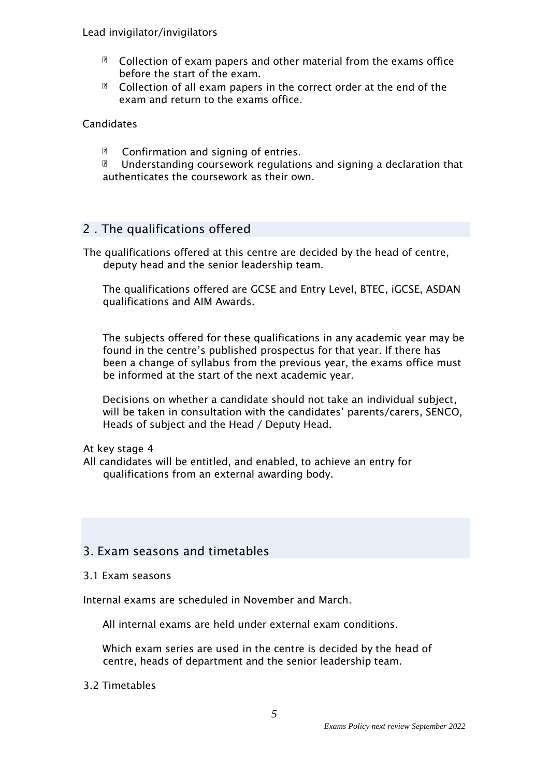#### Lead invigilator/invigilators

- $\Box$ Collection of exam papers and other material from the exams office before the start of the exam.
- $\Box$  Collection of all exam papers in the correct order at the end of the exam and return to the exams office.

Candidates

 $\mathbf{E}$ Confirmation and signing of entries.

 $\overline{r}$ Understanding coursework regulations and signing a declaration that authenticates the coursework as their own.

### 2 . The qualifications offered

The qualifications offered at this centre are decided by the head of centre, deputy head and the senior leadership team.

The qualifications offered are GCSE and Entry Level, BTEC, iGCSE, ASDAN qualifications and AIM Awards.

The subjects offered for these qualifications in any academic year may be found in the centre's published prospectus for that year. If there has been a change of syllabus from the previous year, the exams office must be informed at the start of the next academic year.

Decisions on whether a candidate should not take an individual subject, will be taken in consultation with the candidates' parents/carers, SENCO, Heads of subject and the Head / Deputy Head.

At key stage 4

All candidates will be entitled, and enabled, to achieve an entry for qualifications from an external awarding body.

# 3. Exam seasons and timetables

#### 3.1 Exam seasons

Internal exams are scheduled in November and March.

All internal exams are held under external exam conditions.

Which exam series are used in the centre is decided by the head of centre, heads of department and the senior leadership team.

#### 3.2 Timetables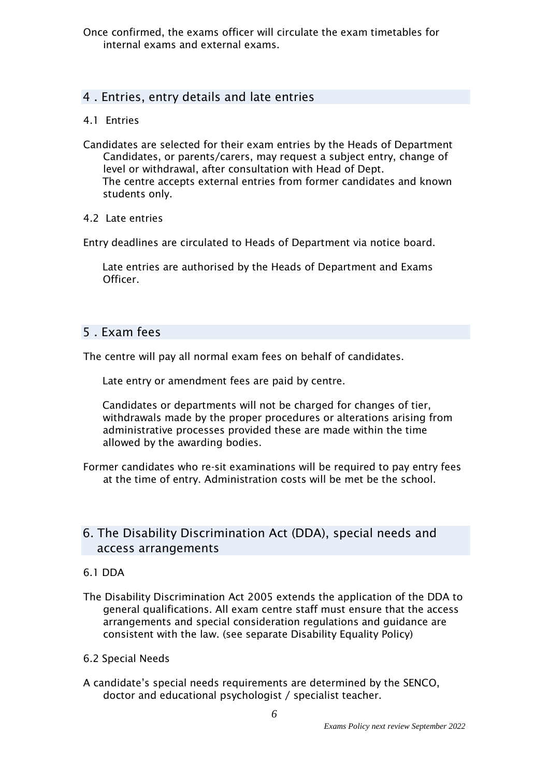# 4 . Entries, entry details and late entries

### 4.1 Entries

Candidates are selected for their exam entries by the Heads of Department Candidates, or parents/carers, may request a subject entry, change of level or withdrawal, after consultation with Head of Dept. The centre accepts external entries from former candidates and known students only.

### 4.2 Late entries

Entry deadlines are circulated to Heads of Department via notice board.

Late entries are authorised by the Heads of Department and Exams Officer.

# 5 . Exam fees

The centre will pay all normal exam fees on behalf of candidates.

Late entry or amendment fees are paid by centre.

Candidates or departments will not be charged for changes of tier, withdrawals made by the proper procedures or alterations arising from administrative processes provided these are made within the time allowed by the awarding bodies.

Former candidates who re-sit examinations will be required to pay entry fees at the time of entry. Administration costs will be met be the school.

# 6. The Disability Discrimination Act (DDA), special needs and access arrangements

# 6.1 DDA

The Disability Discrimination Act 2005 extends the application of the DDA to general qualifications. All exam centre staff must ensure that the access arrangements and special consideration regulations and guidance are consistent with the law. (see separate Disability Equality Policy)

#### 6.2 Special Needs

A candidate's special needs requirements are determined by the SENCO, doctor and educational psychologist / specialist teacher.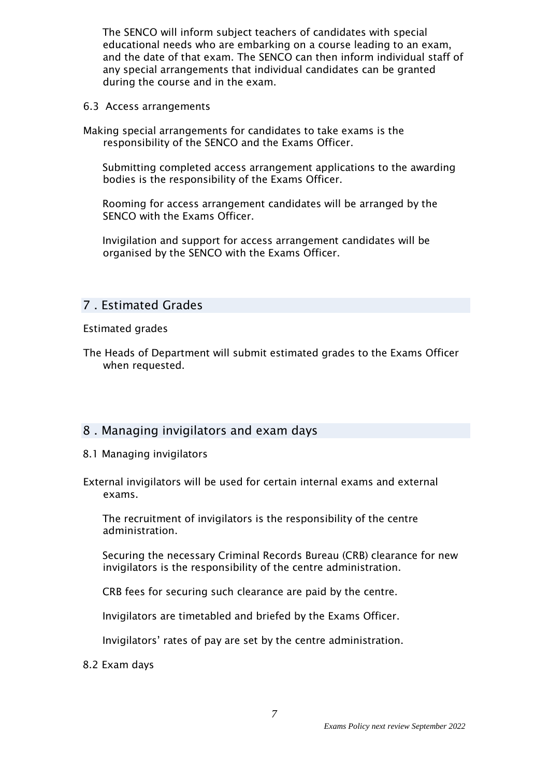The SENCO will inform subject teachers of candidates with special educational needs who are embarking on a course leading to an exam, and the date of that exam. The SENCO can then inform individual staff of any special arrangements that individual candidates can be granted during the course and in the exam.

6.3 Access arrangements

Making special arrangements for candidates to take exams is the responsibility of the SENCO and the Exams Officer.

Submitting completed access arrangement applications to the awarding bodies is the responsibility of the Exams Officer.

Rooming for access arrangement candidates will be arranged by the SENCO with the Exams Officer.

Invigilation and support for access arrangement candidates will be organised by the SENCO with the Exams Officer.

# 7 . Estimated Grades

Estimated grades

The Heads of Department will submit estimated grades to the Exams Officer when requested.

# 8 . Managing invigilators and exam days

- 8.1 Managing invigilators
- External invigilators will be used for certain internal exams and external exams.

The recruitment of invigilators is the responsibility of the centre administration.

Securing the necessary Criminal Records Bureau (CRB) clearance for new invigilators is the responsibility of the centre administration.

CRB fees for securing such clearance are paid by the centre.

Invigilators are timetabled and briefed by the Exams Officer.

Invigilators' rates of pay are set by the centre administration.

8.2 Exam days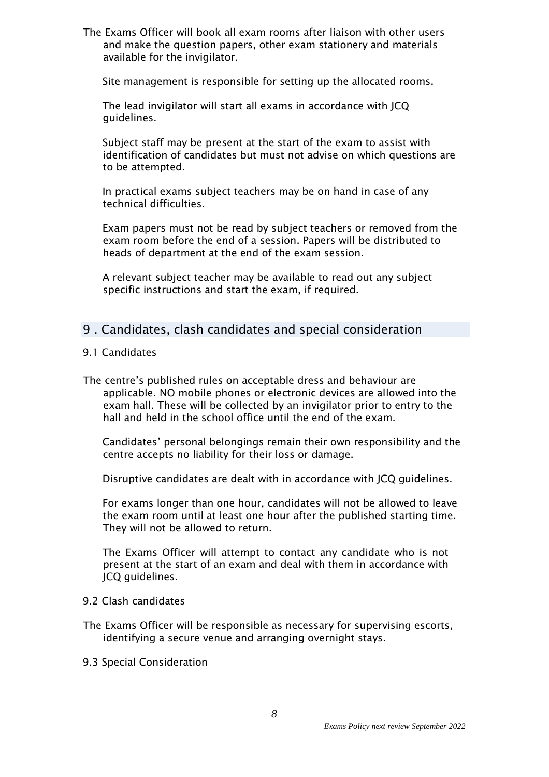The Exams Officer will book all exam rooms after liaison with other users and make the question papers, other exam stationery and materials available for the invigilator.

Site management is responsible for setting up the allocated rooms.

The lead invigilator will start all exams in accordance with JCQ guidelines.

Subject staff may be present at the start of the exam to assist with identification of candidates but must not advise on which questions are to be attempted.

In practical exams subject teachers may be on hand in case of any technical difficulties.

Exam papers must not be read by subject teachers or removed from the exam room before the end of a session. Papers will be distributed to heads of department at the end of the exam session.

A relevant subject teacher may be available to read out any subject specific instructions and start the exam, if required.

# 9 . Candidates, clash candidates and special consideration

- 9.1 Candidates
- The centre's published rules on acceptable dress and behaviour are applicable. NO mobile phones or electronic devices are allowed into the exam hall. These will be collected by an invigilator prior to entry to the hall and held in the school office until the end of the exam.

Candidates' personal belongings remain their own responsibility and the centre accepts no liability for their loss or damage.

Disruptive candidates are dealt with in accordance with JCQ guidelines.

For exams longer than one hour, candidates will not be allowed to leave the exam room until at least one hour after the published starting time. They will not be allowed to return.

The Exams Officer will attempt to contact any candidate who is not present at the start of an exam and deal with them in accordance with JCQ guidelines.

- 9.2 Clash candidates
- The Exams Officer will be responsible as necessary for supervising escorts, identifying a secure venue and arranging overnight stays.
- 9.3 Special Consideration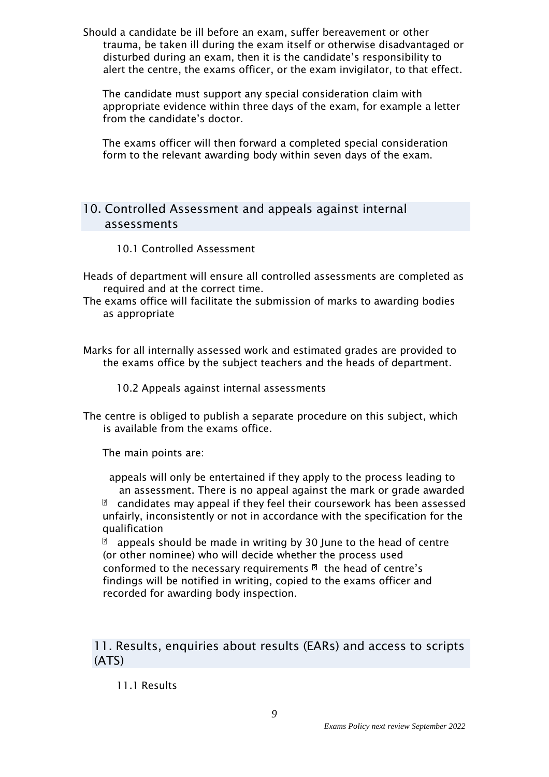Should a candidate be ill before an exam, suffer bereavement or other trauma, be taken ill during the exam itself or otherwise disadvantaged or disturbed during an exam, then it is the candidate's responsibility to alert the centre, the exams officer, or the exam invigilator, to that effect.

The candidate must support any special consideration claim with appropriate evidence within three days of the exam, for example a letter from the candidate's doctor.

The exams officer will then forward a completed special consideration form to the relevant awarding body within seven days of the exam.

# 10. Controlled Assessment and appeals against internal assessments

- 10.1 Controlled Assessment
- Heads of department will ensure all controlled assessments are completed as required and at the correct time.
- The exams office will facilitate the submission of marks to awarding bodies as appropriate

Marks for all internally assessed work and estimated grades are provided to the exams office by the subject teachers and the heads of department.

10.2 Appeals against internal assessments

The centre is obliged to publish a separate procedure on this subject, which is available from the exams office.

The main points are:

appeals will only be entertained if they apply to the process leading to an assessment. There is no appeal against the mark or grade awarded  $\Box$  candidates may appeal if they feel their coursework has been assessed unfairly, inconsistently or not in accordance with the specification for the qualification

appeals should be made in writing by 30 June to the head of centre  $\overline{?}$ (or other nominee) who will decide whether the process used conformed to the necessary requirements  $\mathbb{B}$  the head of centre's findings will be notified in writing, copied to the exams officer and recorded for awarding body inspection.

11. Results, enquiries about results (EARs) and access to scripts (ATS)

11.1 Results